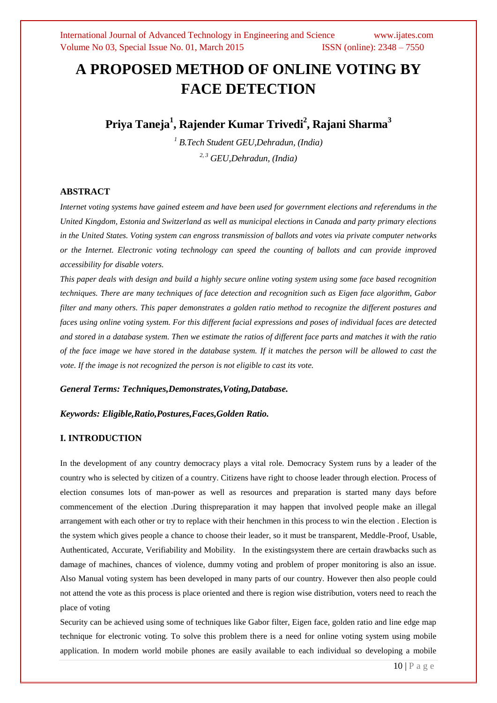# **A PROPOSED METHOD OF ONLINE VOTING BY FACE DETECTION**

**Priya Taneja<sup>1</sup> , Rajender Kumar Trivedi<sup>2</sup> , Rajani Sharma<sup>3</sup>**

*<sup>1</sup> B.Tech Student GEU,Dehradun, (India) 2, 3 GEU,Dehradun, (India)*

### **ABSTRACT**

*Internet voting systems have gained esteem and have been used for government elections and referendums in the United Kingdom, Estonia and Switzerland as well as municipal elections in Canada and party primary elections in the United States. Voting system can engross transmission of ballots and votes via private computer networks or the Internet. Electronic voting technology can speed the counting of ballots and can provide improved accessibility for disable voters.*

*This paper deals with design and build a highly secure online voting system using some face based recognition techniques. There are many techniques of face detection and recognition such as Eigen face algorithm, Gabor filter and many others. This paper demonstrates a golden ratio method to recognize the different postures and faces using online voting system. For this different facial expressions and poses of individual faces are detected and stored in a database system. Then we estimate the ratios of different face parts and matches it with the ratio of the face image we have stored in the database system. If it matches the person will be allowed to cast the vote. If the image is not recognized the person is not eligible to cast its vote.*

### *General Terms: Techniques,Demonstrates,Voting,Database.*

#### *Keywords: Eligible,Ratio,Postures,Faces,Golden Ratio.*

### **I. INTRODUCTION**

In the development of any country democracy plays a vital role. Democracy System runs by a leader of the country who is selected by citizen of a country. Citizens have right to choose leader through election. Process of election consumes lots of man-power as well as resources and preparation is started many days before commencement of the election .During thispreparation it may happen that involved people make an illegal arrangement with each other or try to replace with their henchmen in this process to win the election . Election is the system which gives people a chance to choose their leader, so it must be transparent, Meddle-Proof, Usable, Authenticated, Accurate, Verifiability and Mobility. In the existingsystem there are certain drawbacks such as damage of machines, chances of violence, dummy voting and problem of proper monitoring is also an issue. Also Manual voting system has been developed in many parts of our country. However then also people could not attend the vote as this process is place oriented and there is region wise distribution, voters need to reach the place of voting

Security can be achieved using some of techniques like Gabor filter, Eigen face, golden ratio and line edge map technique for electronic voting. To solve this problem there is a need for online voting system using mobile application. In modern world mobile phones are easily available to each individual so developing a mobile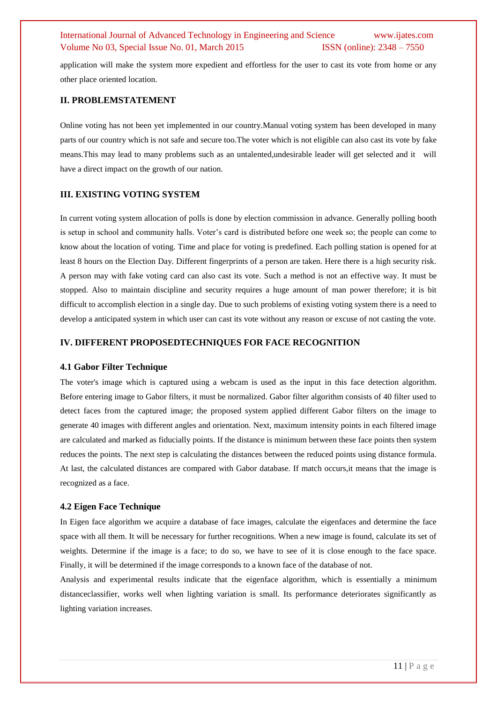application will make the system more expedient and effortless for the user to cast its vote from home or any other place oriented location.

### **II. PROBLEMSTATEMENT**

Online voting has not been yet implemented in our country.Manual voting system has been developed in many parts of our country which is not safe and secure too.The voter which is not eligible can also cast its vote by fake means.This may lead to many problems such as an untalented,undesirable leader will get selected and it will have a direct impact on the growth of our nation.

#### **III. EXISTING VOTING SYSTEM**

In current voting system allocation of polls is done by election commission in advance. Generally polling booth is setup in school and community halls. Voter"s card is distributed before one week so; the people can come to know about the location of voting. Time and place for voting is predefined. Each polling station is opened for at least 8 hours on the Election Day. Different fingerprints of a person are taken. Here there is a high security risk. A person may with fake voting card can also cast its vote. Such a method is not an effective way. It must be stopped. Also to maintain discipline and security requires a huge amount of man power therefore; it is bit difficult to accomplish election in a single day. Due to such problems of existing voting system there is a need to develop a anticipated system in which user can cast its vote without any reason or excuse of not casting the vote.

### **IV. DIFFERENT PROPOSEDTECHNIQUES FOR FACE RECOGNITION**

#### **4.1 Gabor Filter Technique**

The voter's image which is captured using a webcam is used as the input in this face detection algorithm. Before entering image to Gabor filters, it must be normalized. Gabor filter algorithm consists of 40 filter used to detect faces from the captured image; the proposed system applied different Gabor filters on the image to generate 40 images with different angles and orientation. Next, maximum intensity points in each filtered image are calculated and marked as fiducially points. If the distance is minimum between these face points then system reduces the points. The next step is calculating the distances between the reduced points using distance formula. At last, the calculated distances are compared with Gabor database. If match occurs,it means that the image is recognized as a face.

#### **4.2 Eigen Face Technique**

In Eigen face algorithm we acquire a database of face images, calculate the eigenfaces and determine the face space with all them. It will be necessary for further recognitions. When a new image is found, calculate its set of weights. Determine if the image is a face; to do so, we have to see of it is close enough to the face space. Finally, it will be determined if the image corresponds to a known face of the database of not.

Analysis and experimental results indicate that the eigenface algorithm, which is essentially a minimum distanceclassifier, works well when lighting variation is small. Its performance deteriorates significantly as lighting variation increases.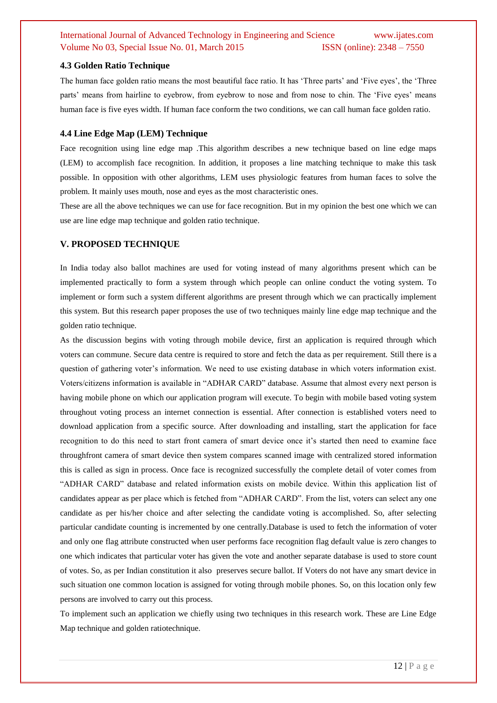### **4.3 Golden Ratio Technique**

The human face golden ratio means the most beautiful face ratio. It has "Three parts" and "Five eyes", the "Three parts" means from hairline to eyebrow, from eyebrow to nose and from nose to chin. The "Five eyes" means human face is five eyes width. If human face conform the two conditions, we can call human face golden ratio.

### **4.4 Line Edge Map (LEM) Technique**

Face recognition using line edge map .This algorithm describes a new technique based on line edge maps (LEM) to accomplish face recognition. In addition, it proposes a line matching technique to make this task possible. In opposition with other algorithms, LEM uses physiologic features from human faces to solve the problem. It mainly uses mouth, nose and eyes as the most characteristic ones.

These are all the above techniques we can use for face recognition. But in my opinion the best one which we can use are line edge map technique and golden ratio technique.

### **V. PROPOSED TECHNIQUE**

In India today also ballot machines are used for voting instead of many algorithms present which can be implemented practically to form a system through which people can online conduct the voting system. To implement or form such a system different algorithms are present through which we can practically implement this system. But this research paper proposes the use of two techniques mainly line edge map technique and the golden ratio technique.

As the discussion begins with voting through mobile device, first an application is required through which voters can commune. Secure data centre is required to store and fetch the data as per requirement. Still there is a question of gathering voter's information. We need to use existing database in which voters information exist. Voters/citizens information is available in "ADHAR CARD" database. Assume that almost every next person is having mobile phone on which our application program will execute. To begin with mobile based voting system throughout voting process an internet connection is essential. After connection is established voters need to download application from a specific source. After downloading and installing, start the application for face recognition to do this need to start front camera of smart device once it"s started then need to examine face throughfront camera of smart device then system compares scanned image with centralized stored information this is called as sign in process. Once face is recognized successfully the complete detail of voter comes from "ADHAR CARD" database and related information exists on mobile device. Within this application list of candidates appear as per place which is fetched from "ADHAR CARD". From the list, voters can select any one candidate as per his/her choice and after selecting the candidate voting is accomplished. So, after selecting particular candidate counting is incremented by one centrally.Database is used to fetch the information of voter and only one flag attribute constructed when user performs face recognition flag default value is zero changes to one which indicates that particular voter has given the vote and another separate database is used to store count of votes. So, as per Indian constitution it also preserves secure ballot. If Voters do not have any smart device in such situation one common location is assigned for voting through mobile phones. So, on this location only few persons are involved to carry out this process.

To implement such an application we chiefly using two techniques in this research work. These are Line Edge Map technique and golden ratiotechnique.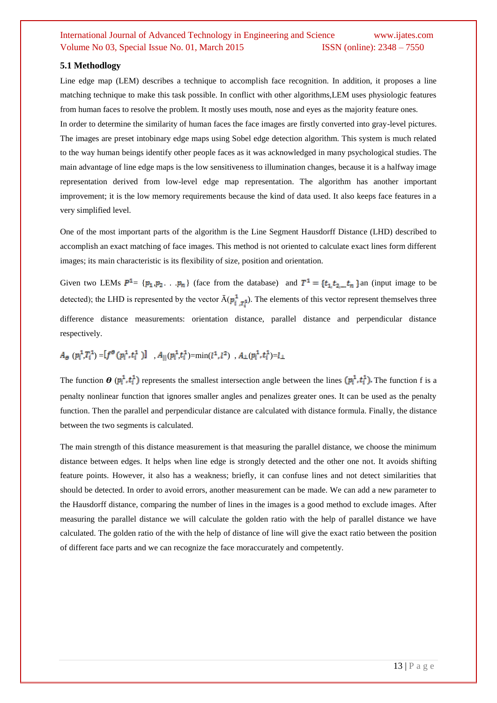### **5.1 Methodlogy**

Line edge map (LEM) describes a technique to accomplish face recognition. In addition, it proposes a line matching technique to make this task possible. In conflict with other algorithms,LEM uses physiologic features from human faces to resolve the problem. It mostly uses mouth, nose and eyes as the majority feature ones. In order to determine the similarity of human faces the face images are firstly converted into gray-level pictures.

The images are preset intobinary edge maps using Sobel edge detection algorithm. This system is much related to the way human beings identify other people faces as it was acknowledged in many psychological studies. The main advantage of line edge maps is the low sensitiveness to illumination changes, because it is a halfway image representation derived from low-level edge map representation. The algorithm has another important improvement; it is the low memory requirements because the kind of data used. It also keeps face features in a very simplified level.

One of the most important parts of the algorithm is the Line Segment Hausdorff Distance (LHD) described to accomplish an exact matching of face images. This method is not oriented to calculate exact lines form different images; its main characteristic is its flexibility of size, position and orientation.

Given two LEMs  $P^1 = \{p_1, p_2, \ldots, p_n\}$  (face from the database) and  $T^1 = \{t_1, t_2, \ldots, t_n\}$  an (input image to be detected); the LHD is represented by the vector  $\bar{A}(\vec{p}_{i}, \vec{r}_{i})$ . The elements of this vector represent themselves three difference distance measurements: orientation distance, parallel distance and perpendicular distance respectively.

## $A_{\Theta}(p_i^1, T_i^1) = [f^{\Theta}(p_i^1, t_i^1)]$ ,  $A_{||}(p_i^1, t_i^1) = \min(l^1, l^2)$ ,  $A_{\perp}(p_i^1, t_i^1) = l_{\perp}$

The function  $\theta$  ( $p_i^1$ , $t_i^1$ ) represents the smallest intersection angle between the lines  $(p_i^1, t_i^1)$ . The function f is a penalty nonlinear function that ignores smaller angles and penalizes greater ones. It can be used as the penalty function. Then the parallel and perpendicular distance are calculated with distance formula. Finally, the distance between the two segments is calculated.

The main strength of this distance measurement is that measuring the parallel distance, we choose the minimum distance between edges. It helps when line edge is strongly detected and the other one not. It avoids shifting feature points. However, it also has a weakness; briefly, it can confuse lines and not detect similarities that should be detected. In order to avoid errors, another measurement can be made. We can add a new parameter to the Hausdorff distance, comparing the number of lines in the images is a good method to exclude images. After measuring the parallel distance we will calculate the golden ratio with the help of parallel distance we have calculated. The golden ratio of the with the help of distance of line will give the exact ratio between the position of different face parts and we can recognize the face moraccurately and competently.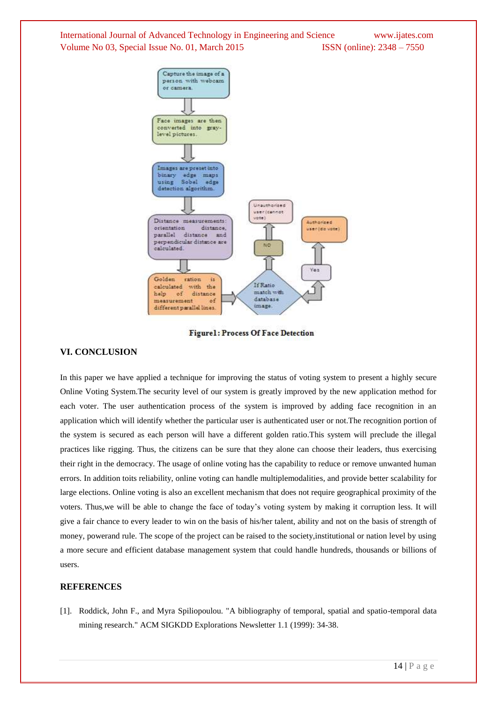

**Figurel: Process Of Face Detection** 

### **VI. CONCLUSION**

In this paper we have applied a technique for improving the status of voting system to present a highly secure Online Voting System.The security level of our system is greatly improved by the new application method for each voter. The user authentication process of the system is improved by adding face recognition in an application which will identify whether the particular user is authenticated user or not.The recognition portion of the system is secured as each person will have a different golden ratio.This system will preclude the illegal practices like rigging. Thus, the citizens can be sure that they alone can choose their leaders, thus exercising their right in the democracy. The usage of online voting has the capability to reduce or remove unwanted human errors. In addition toits reliability, online voting can handle multiplemodalities, and provide better scalability for large elections. Online voting is also an excellent mechanism that does not require geographical proximity of the voters. Thus,we will be able to change the face of today"s voting system by making it corruption less. It will give a fair chance to every leader to win on the basis of his/her talent, ability and not on the basis of strength of money, powerand rule. The scope of the project can be raised to the society,institutional or nation level by using a more secure and efficient database management system that could handle hundreds, thousands or billions of users.

### **REFERENCES**

[1]. Roddick, John F., and Myra Spiliopoulou. "A bibliography of temporal, spatial and spatio-temporal data mining research." ACM SIGKDD Explorations Newsletter 1.1 (1999): 34-38.